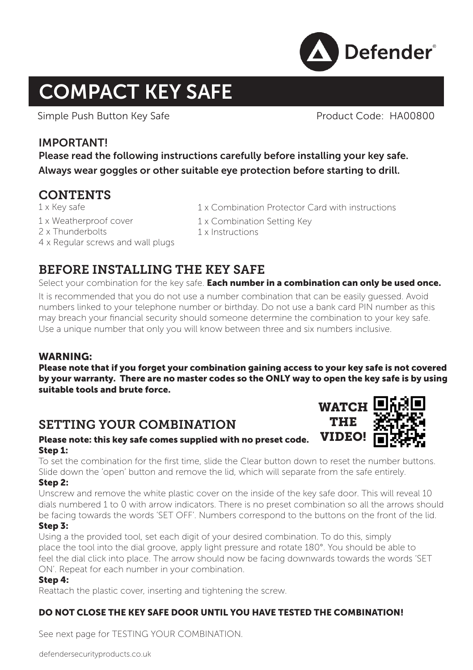

# COMPACT KEY SAFE

Simple Push Button Key Safe **Product Code: HA00800** 

## IMPORTANT!

Please read the following instructions carefully before installing your key safe. Always wear goggles or other suitable eye protection before starting to drill.

# **CONTENTS**

1 x Key safe 1 x Weatherproof cover 2 x Thunderbolts 4 x Regular screws and wall plugs

- 1 x Combination Protector Card with instructions
- 1 x Combination Setting Key
- 1 x Instructions

# BEFORE INSTALLING THE KEY SAFE

Select your combination for the key safe. Each number in a combination can only be used once.

It is recommended that you do not use a number combination that can be easily guessed. Avoid numbers linked to your telephone number or birthday. Do not use a bank card PIN number as this may breach your financial security should someone determine the combination to your key safe. Use a unique number that only you will know between three and six numbers inclusive.

#### WARNING:

Please note that if you forget your combination gaining access to your key safe is not covered by your warranty. There are no master codes so the ONLY way to open the key safe is by using suitable tools and brute force.

# SETTING YOUR COMBINATION

#### Please note: this key safe comes supplied with no preset code. Step 1:

To set the combination for the first time, slide the Clear button down to reset the number buttons. Slide down the 'open' button and remove the lid, which will separate from the safe entirely.

#### Step 2:

Unscrew and remove the white plastic cover on the inside of the key safe door. This will reveal 10 dials numbered 1 to 0 with arrow indicators. There is no preset combination so all the arrows should be facing towards the words 'SET OFF'. Numbers correspond to the buttons on the front of the lid.

#### Step 3:

Using a the provided tool, set each digit of your desired combination. To do this, simply place the tool into the dial groove, apply light pressure and rotate 180°. You should be able to feel the dial click into place. The arrow should now be facing downwards towards the words 'SET ON'. Repeat for each number in your combination.

#### Step 4:

Reattach the plastic cover, inserting and tightening the screw.

## DO NOT CLOSE THE KEY SAFE DOOR UNTIL YOU HAVE TESTED THE COMBINATION!

See next page for TESTING YOUR COMBINATION.

defendersecurityproducts.co.uk